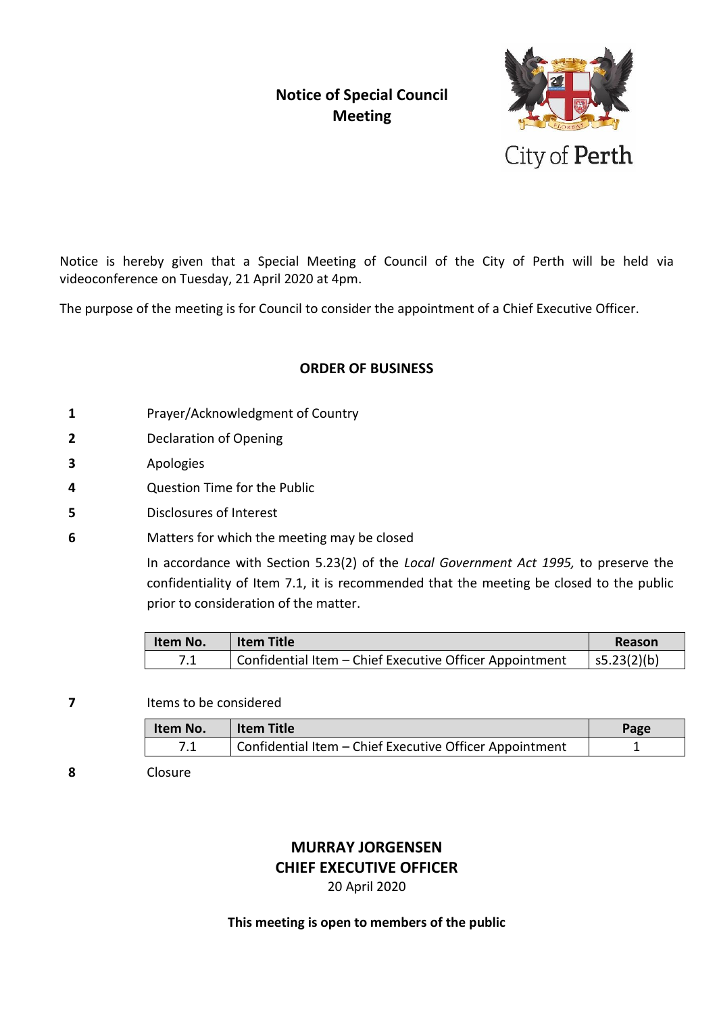# **Notice of Special Council Meeting**



Notice is hereby given that a Special Meeting of Council of the City of Perth will be held via videoconference on Tuesday, 21 April 2020 at 4pm.

The purpose of the meeting is for Council to consider the appointment of a Chief Executive Officer.

### **ORDER OF BUSINESS**

- **1** Prayer/Acknowledgment of Country
- **2** Declaration of Opening
- **3** Apologies
- **4** Question Time for the Public
- **5** Disclosures of Interest
- **6** Matters for which the meeting may be closed

In accordance with Section 5.23(2) of the *Local Government Act 1995,* to preserve the confidentiality of Item 7.1, it is recommended that the meeting be closed to the public prior to consideration of the matter.

| Item No.   | <b>Item Title</b>                                       | Reason          |
|------------|---------------------------------------------------------|-----------------|
| <b>7</b> 4 | Confidential Item - Chief Executive Officer Appointment | $ $ s5.23(2)(b) |

**7** Items to be considered

| Item No. | <b>Item Title</b>                                       | Page |
|----------|---------------------------------------------------------|------|
|          | Confidential Item - Chief Executive Officer Appointment |      |

**8** Closure

### **MURRAY JORGENSEN CHIEF EXECUTIVE OFFICER** 20 April 2020

#### **This meeting is open to members of the public**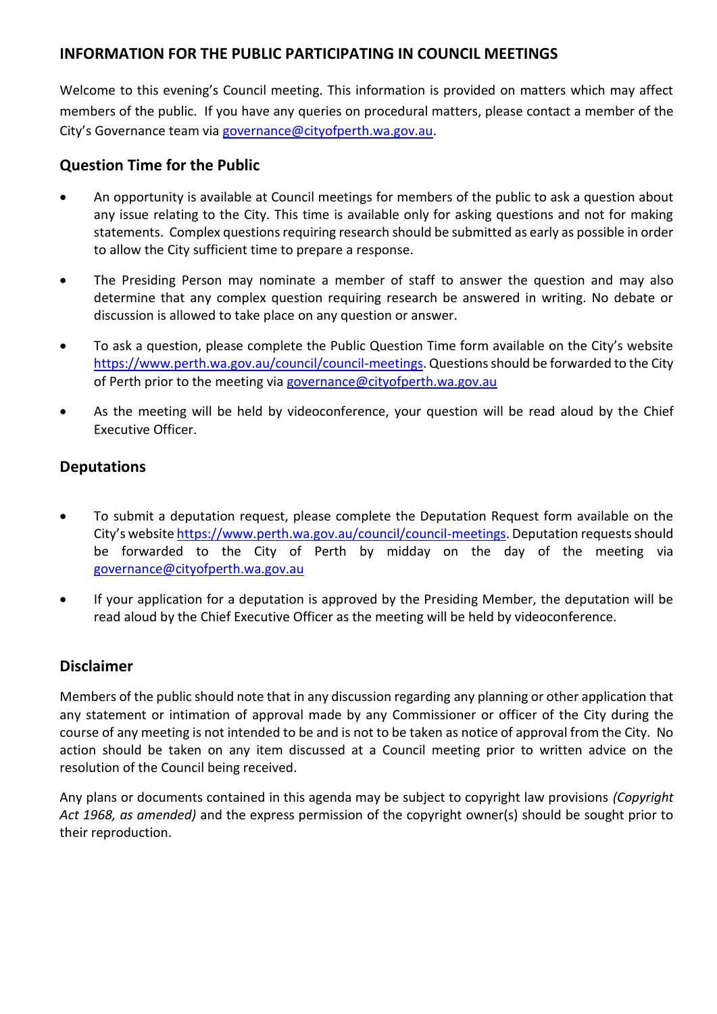### **INFORMATION FOR THE PUBLIC PARTICIPATING IN COUNCIL MEETINGS**

Welcome to this evening's Council meeting. This information is provided on matters which may affect members of the public. If you have any queries on procedural matters, please contact a member of the City's Governance team via [governance@cityofperth.wa.gov.au.](mailto:governance@cityofperth.wa.gov.au)

## **Question Time for the Public**

- An opportunity is available at Council meetings for members of the public to ask a question about any issue relating to the City. This time is available only for asking questions and not for making statements. Complex questions requiring research should be submitted as early as possible in order to allow the City sufficient time to prepare a response.
- The Presiding Person may nominate a member of staff to answer the question and may also determine that any complex question requiring research be answered in writing. No debate or discussion is allowed to take place on any question or answer.
- To ask a question, please complete the Public Question Time form available on the City's website [https://www.perth.wa.gov.au/council/council-meetings.](https://www.perth.wa.gov.au/council/council-meetings) Questions should be forwarded to the City of Perth prior to the meeting via [governance@cityofperth.wa.gov.au](mailto:governance@cityofperth.wa.gov.au)
- As the meeting will be held by videoconference, your question will be read aloud by the Chief Executive Officer.

# **Deputations**

- To submit a deputation request, please complete the Deputation Request form available on the City's website [https://www.perth.wa.gov.au/council/council-meetings.](https://www.perth.wa.gov.au/council/council-meetings) Deputation requests should be forwarded to the City of Perth by midday on the day of the meeting via [governance@cityofperth.wa.gov.au](mailto:governance@cityofperth.wa.gov.au)
- If your application for a deputation is approved by the Presiding Member, the deputation will be read aloud by the Chief Executive Officer as the meeting will be held by videoconference.

## **Disclaimer**

Members of the public should note that in any discussion regarding any planning or other application that any statement or intimation of approval made by any Commissioner or officer of the City during the course of any meeting is not intended to be and is not to be taken as notice of approval from the City. No action should be taken on any item discussed at a Council meeting prior to written advice on the resolution of the Council being received.

Any plans or documents contained in this agenda may be subject to copyright law provisions *(Copyright Act 1968, as amended)* and the express permission of the copyright owner(s) should be sought prior to their reproduction.